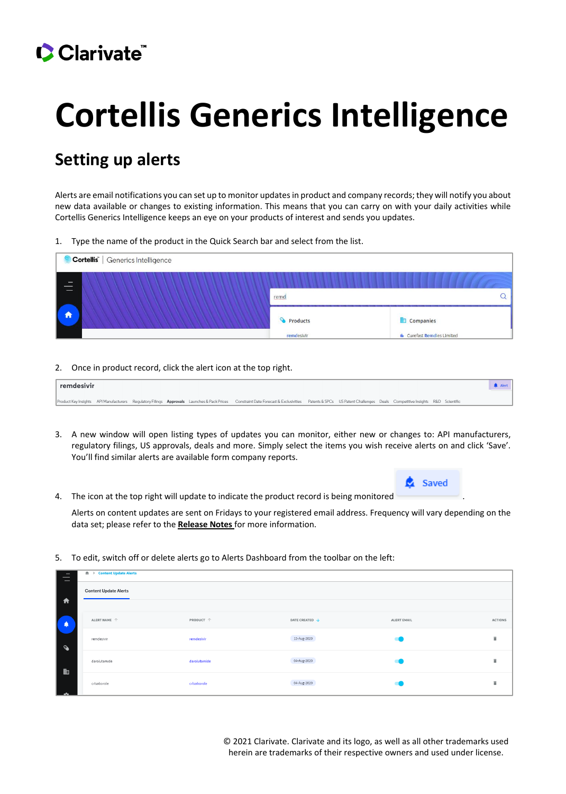## Clarivate

## **Cortellis Generics Intelligence**

## **Setting up alerts**

Alerts are email notifications you can set up to monitor updates in product and company records; they will notify you about new data available or changes to existing information. This means that you can carry on with your daily activities while Cortellis Generics Intelligence keeps an eye on your products of interest and sends you updates.

1. Type the name of the product in the Quick Search bar and select from the list.

| Cortellis  <br>Generics Intelligence |            |                                    |  |  |  |  |
|--------------------------------------|------------|------------------------------------|--|--|--|--|
| $\equiv$                             |            |                                    |  |  |  |  |
| _                                    | remd       |                                    |  |  |  |  |
| <b>f</b>                             | Products   | Companies                          |  |  |  |  |
|                                      | remdesivir | <b>In</b> Curefast Remdies Limited |  |  |  |  |

2. Once in product record, click the alert icon at the top right.

| remdesivir |  |  |                                                                                                                                                                                                                   |  |  |  | of the state of the state of the state of |
|------------|--|--|-------------------------------------------------------------------------------------------------------------------------------------------------------------------------------------------------------------------|--|--|--|-------------------------------------------|
|            |  |  | Product Key Insights API Manufacturers Regulatory Filings Approvals Launches & Pack Prices Constraint Date Forecast & Exclusivities Patents & SPCs US Patent Challenges Deals Competitive Insights R&D Scientific |  |  |  |                                           |

- 3. A new window will open listing types of updates you can monitor, either new or changes to: API manufacturers, regulatory filings, US approvals, deals and more. Simply select the items you wish receive alerts on and click 'Save'. You'll find similar alerts are available form company reports.
- 4. The icon at the top right will update to indicate the product record is being monitored

Alerts on content updates are sent on Fridays to your registered email address. Frequency will vary depending on the data set; please refer to the **[Release Notes](https://clarivate.com/cortellis/learning/cortellis-generics-intelligence-training1991/cortellis-generics-intelligence-release-information/)** for more information.

5. To edit, switch off or delete alerts go to Alerts Dashboard from the toolbar on the left:

| $\overline{\phantom{0}}$<br>$\overline{\phantom{0}}$ | <del>m</del> → Content Update Alerts |              |                |                    |                |
|------------------------------------------------------|--------------------------------------|--------------|----------------|--------------------|----------------|
|                                                      | <b>Content Update Alerts</b>         |              |                |                    |                |
| $\blacklozenge$                                      |                                      |              |                |                    |                |
| ۵                                                    | ALERT NAME $\ \Uparrow$              | PRODUCT 个    | DATE CREATED \ | <b>ALERT EMAIL</b> | <b>ACTIONS</b> |
| $\bullet$                                            | remdesivir                           | remdesivir   | 13-Aug-2020    |                    | î              |
| 齨                                                    | darolutamide                         | darolutamide | 04-Aug-2020    |                    |                |
| ₩                                                    | crisaborole                          | crisaborole  | 04-Aug-2020    |                    |                |
|                                                      |                                      |              |                |                    |                |

© 2021 Clarivate. Clarivate and its logo, as well as all other trademarks used herein are trademarks of their respective owners and used under license.

**B** Saved